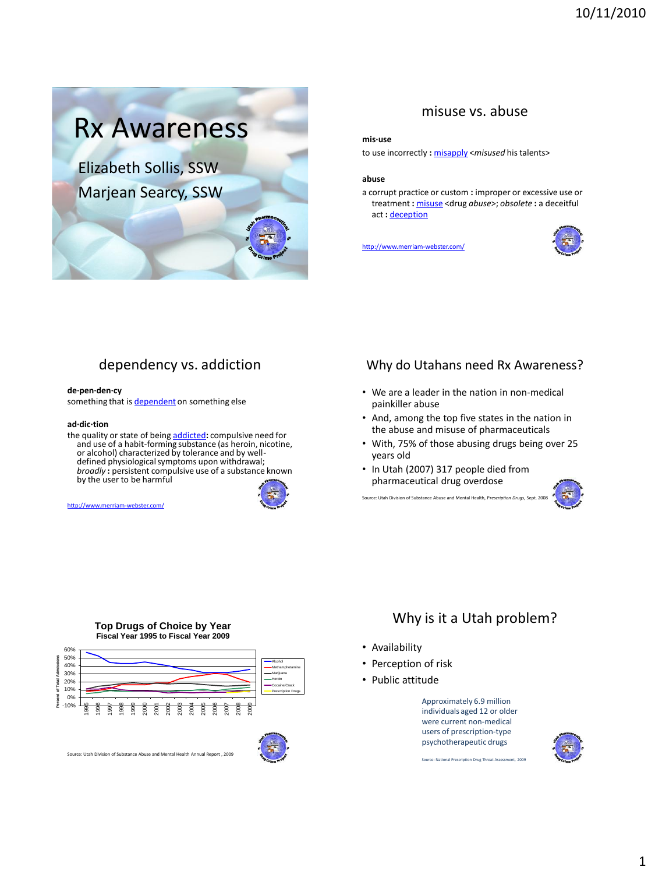

### misuse vs. abuse

#### **mis·use**

to use incorrectly **:** [misapply](http://www.merriam-webster.com/dictionary/misapply) <*misused* his talents>

#### **abuse**

a corrupt practice or custom **:** improper or excessive use or treatment **:** [misuse](http://www.merriam-webster.com/dictionary/misuse) <drug *abuse*>; *obsolete* **:** a deceitful act **:** [deception](http://www.merriam-webster.com/dictionary/deception)

<http://www.merriam-webster.com/>



# dependency vs. addiction

#### **de·pen·den·cy**

something that is [dependent](http://www.merriam-webster.com/dictionary/dependent) on something else

#### **ad·dic·tion**

<http://www.merriam-webster.com/>

the quality or state of being [addicted](http://www.merriam-webster.com/dictionary/addicted)**:** compulsive need for and use of a habit-forming substance (as heroin, nicotine, or alcohol) characterized by tolerance and by welldefined physiological symptoms upon withdrawal; *broadly* **:** persistent compulsive use of a substance known by the user to be harmful



#### Why do Utahans need Rx Awareness?

- We are a leader in the nation in non-medical painkiller abuse
- And, among the top five states in the nation in the abuse and misuse of pharmaceuticals
- With, 75% of those abusing drugs being over 25 years old
- In Utah (2007) 317 people died from pharmaceutical drug overdose Source: Utah Division of Substance Abuse and Mental Health, Prescription Dr



#### **Top Drugs of Choice by Year Fiscal Year 1995 to Fiscal Year 2009**



## Why is it a Utah problem?

- Availability
- Perception of risk
- Public attitude



Source: National Prescription Drug Threat Assessment, 2009

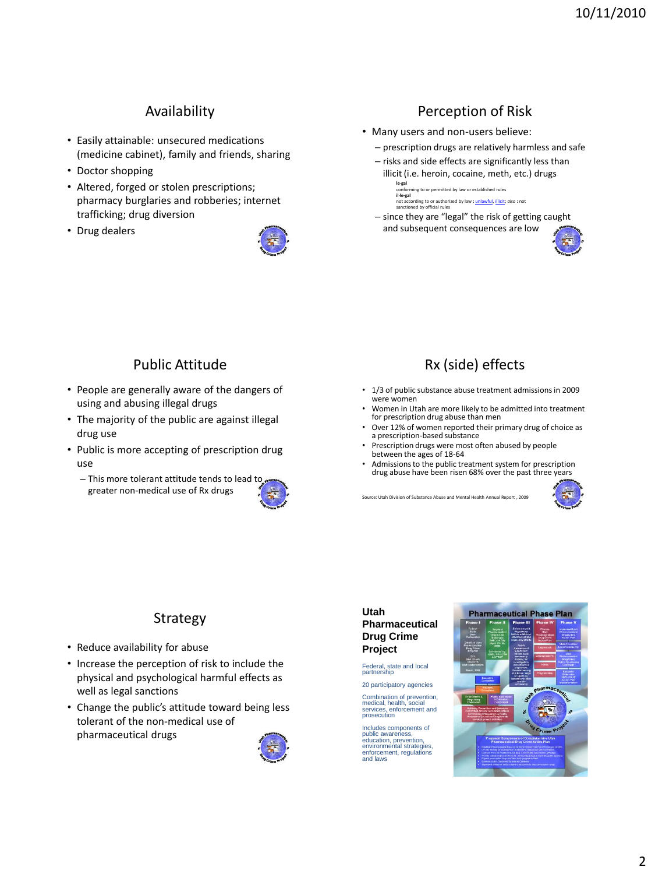# Availability

- Easily attainable: unsecured medications (medicine cabinet), family and friends, sharing
- Doctor shopping
- Altered, forged or stolen prescriptions; pharmacy burglaries and robberies; internet trafficking; drug diversion
- Drug dealers



# Perception of Risk

- Many users and non-users believe:
	- prescription drugs are relatively harmless and safe
	- risks and side effects are significantly less than illicit (i.e. heroin, cocaine, meth, etc.) drugs

**le·gal** ning to or permitted by law or established rules **il·le·gal** not according to or authorized by law **:** [unlawful](http://www.merriam-webster.com/dictionary/unlawful), [illicit](http://www.merriam-webster.com/dictionary/illicit); *also* **:** not sanctioned by official rules

– since they are "legal" the risk of getting caught and subsequent consequences are low



## Public Attitude

- People are generally aware of the dangers of using and abusing illegal drugs
- The majority of the public are against illegal drug use
- Public is more accepting of prescription drug use
	- This more tolerant attitude tends to lead to greater non-medical use of Rx drugs



# Rx (side) effects

- 1/3 of public substance abuse treatment admissions in 2009 were women
- Women in Utah are more likely to be admitted into treatment for prescription drug abuse than men
- Over 12% of women reported their primary drug of choice as a prescription-based substance
- Prescription drugs were most often abused by people between the ages of 18-64
- Admissions to the public treatment system for prescription drug abuse have been risen 68% over the past three years

Source: Utah Division of Substance Abuse and Mental Health Annual Report , 2009



# Strategy

- Reduce availability for abuse
- Increase the perception of risk to include the physical and psychological harmful effects as well as legal sanctions
- Change the public's attitude toward being less tolerant of the non-medical use of pharmaceutical drugs



#### **Utah Pharmaceutical Drug Crime Project**

Federal, state and local partnership

20 participatory agencies Combination of prevention, medical, health, social services, enforcement and prosecution

Includes components of public awareness, education, prevention, environmental strategies, enforcement, regulations and laws

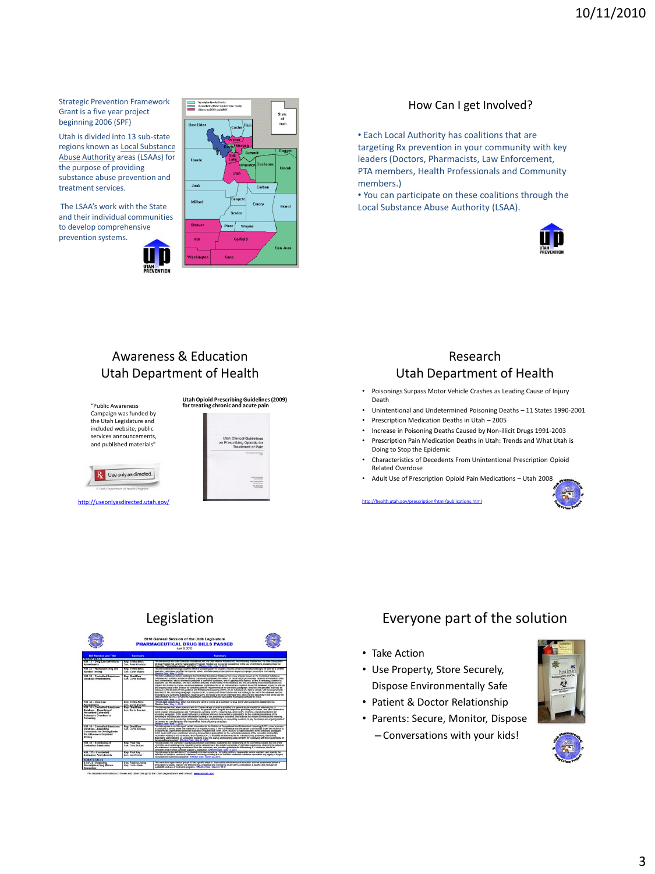Strategic Prevention Framework Grant is a five year project beginning 2006 (SPF)

Utah is divided into 13 sub-state regions known as Local Substance Abuse Authority areas (LSAAs) for the purpose of providing substance abuse prevention and treatment services.

The LSAA's work with the State and their individual communities to develop comprehensive prevention systems.





#### How Can I get Involved?

• Each Local Authority has coalitions that are targeting Rx prevention in your community with key leaders (Doctors, Pharmacists, Law Enforcement, PTA members, Health Professionals and Community members.)

• You can participate on these coalitions through the Local Substance Abuse Authority (LSAA).



# Awareness & Education Utah Department of Health



<http://useonlyasdirected.utah.gov/>



## Research Utah Department of Health

- Poisonings Surpass Motor Vehicle Crashes as Leading Cause of Injury Death
- Unintentional and Undetermined Poisoning Deaths 11 States 1990-2001<br>• Prescription Medication Deaths in Utah 2005
- Prescription Medication Deaths in Utah 2005
- Increase in Poisoning Deaths Caused by Non-illicit Drugs 1991-2003
- Prescription Pain Medication Deaths in Utah: Trends and What Utah is Doing to Stop the Epidemic
- Characteristics of Decedents From Unintentional Prescription Opioid Related Overdose
- Adult Use of Prescription Opioid Pain Medications Utah 2008





|                                                                                                                                                   | 2010 General Session of the Utah Legislature<br><b>PHARMACEUTICAL DRUG BILLS PASSED</b><br>April 8, 2010 |                                                                                                                                                                                                                                                                                                                                                                                                                                                                                                                                                                                                                                                                                                                                                                                                                                                                                                                                                                                                                                                                                                                                                                                                                                                                                                                                                                                                                                               |
|---------------------------------------------------------------------------------------------------------------------------------------------------|----------------------------------------------------------------------------------------------------------|-----------------------------------------------------------------------------------------------------------------------------------------------------------------------------------------------------------------------------------------------------------------------------------------------------------------------------------------------------------------------------------------------------------------------------------------------------------------------------------------------------------------------------------------------------------------------------------------------------------------------------------------------------------------------------------------------------------------------------------------------------------------------------------------------------------------------------------------------------------------------------------------------------------------------------------------------------------------------------------------------------------------------------------------------------------------------------------------------------------------------------------------------------------------------------------------------------------------------------------------------------------------------------------------------------------------------------------------------------------------------------------------------------------------------------------------------|
| <b>Bill Number and Title</b>                                                                                                                      | <b>Sponsors</b>                                                                                          | <b>Burnmary</b>                                                                                                                                                                                                                                                                                                                                                                                                                                                                                                                                                                                                                                                                                                                                                                                                                                                                                                                                                                                                                                                                                                                                                                                                                                                                                                                                                                                                                               |
| <b>EXPERISE TEXT</b>                                                                                                                              |                                                                                                          |                                                                                                                                                                                                                                                                                                                                                                                                                                                                                                                                                                                                                                                                                                                                                                                                                                                                                                                                                                                                                                                                                                                                                                                                                                                                                                                                                                                                                                               |
| H.B. 13 - Drug Law Definitions -<br>Amerylmanin                                                                                                   | <b>Ren Trisha Berk</b><br>Sen. Pater Knudson                                                             | IN 80 DISCOVERY OF RESIDENT STOLEN COOLERS OF THE REAL PROPERTY AS THE BUSINESS OF PARTIES AS THE REAL PROPERTY OF<br>stediosi Practice Ad, and the Naturopathic Physician Practice Act to provide constitiency in the use of definitions, including those for<br>telephone "telephone device," and "drug." Effective Color, side 11, 2010.                                                                                                                                                                                                                                                                                                                                                                                                                                                                                                                                                                                                                                                                                                                                                                                                                                                                                                                                                                                                                                                                                                   |
| H.B. 23 - Workplace Drug and<br><b>Alended Testings</b>                                                                                           | Ren Trinha Beck<br><b>See, Karen Mayne</b>                                                               | the bill structure betweenings comfort effect of concertain with the studiest requires certain conformation begins to be appelled to a certain<br>procedury, addressed smartial for employer action; and addressed precumptions to appear expectations from salight<br>effective Date: May 11, 2010                                                                                                                                                                                                                                                                                                                                                                                                                                                                                                                                                                                                                                                                                                                                                                                                                                                                                                                                                                                                                                                                                                                                           |
| <b>H.B. 28 - Controlled Schalance</b><br>Database Amerydromby                                                                                     | Rep. Brad Daw<br><b>Sen. Curtis Brandda</b>                                                              | This bit recording originative receivers) the Continued Substance Cultabase V&1 a new dicader snown as the Continued Substance<br>Cultiples Art, receipted providents relative to accessive database information for certain resid processives, relatives an individual, others<br>that a veterinarian, who is increased to prescribe a computed substance, who is applying for a spense, or after is remeating a license to:<br>molectic use the gatatuse, and base a bilotic and casa a lest regime to the database and the prescription of controlled substances.<br>required the division to monse an annual database registration fee on an individual who registers to use the database. To pay the startup<br>and orgains costs of the division for complying with the requirements of the preceding paragraph; desighes the peculies that may be<br>EDISORA Na TRA FRANCIS OF FROGRAMMOUS AND FINIMERSON'S EDISORGE CONTROLLING BE ENGINEERS AND THEIR TO CONTROL WITH THE CONTROLLING<br>described in the preceding paragraph, requires OCIPI, to develop an order futurial and lest relating to the use of the database and the<br>prescribing of a controlled substance, requires DOPL to impose a fee on an individual who takes the last described in this bill to pay the<br>crain incurred by COP, to fulfil the requirements described in this bill, and grants rulemaking authority to DOPL.<br>Effective Date: May 11, 2010 |
| H.R. M .- Drug Law<br><b>Amendments</b>                                                                                                           | <b>Rep. Trisha Beck</b><br>Sen. Curtis Brandos                                                           | This sill work consignation, which has the brand name of Some, as a Schedule 1/ drug to the Utah Controlled Substances Act<br>Effective Date: May 11, 2010                                                                                                                                                                                                                                                                                                                                                                                                                                                                                                                                                                                                                                                                                                                                                                                                                                                                                                                                                                                                                                                                                                                                                                                                                                                                                    |
| <b>HR M. Controlled Gentleman</b><br>Database - Reporting of<br><b>Prescribed Controlled</b><br>Substance Overdone or<br>Poisoning                | Rep. Brad Daw<br><b>San Curta Brancia</b>                                                                | This bill requires that, when a person who is 12 years of abe or older is admitted to a general apute hospital for polyoring by, or<br>prendose of, a prescribed controled substance. The centeral agule hospital must report the colucting or overdose, and other information.<br>to the Childen of Consoltional and Professional Liberation (DOPL) organizes that, when DOPL receives a report described in the<br>proceding paragraph. Crom, must notify cash practitioner who may have writen a prescription for the controlled substance of the<br>posering or owndows and certain information neating to the policinthro or over-lose, and requires the division to increase the locateing<br>the for manufacturing, producing, distributing, dispensive, advertising or conducting research, to pay the startup and originity cools of<br>the revision by convenient with the renotationship of the nouncritive nur ancient<br><b>Checkye Care: May 11, 2010</b>                                                                                                                                                                                                                                                                                                                                                                                                                                                                       |
| <b>SILD &amp; Manufacturer Control Statement</b><br>Database - Reporting<br>Convictions for Driving Under<br>the influence or impaired<br>Driving | <b>Den Drad Daw</b><br>Sen. Curts Brandor                                                                | and in the company's the company's company's company's company's company's contributions of the company's company's<br>is convicted of driving under the influence or of impalled driving. If there is evidence that the person's driving was under the influence of<br>or impaired by, a prescribed controlled substance, requires that, when DOPL receives a report described in the preceding paragraph.<br>DOM, said high each scattered win raw have writed a systemation by the controled substance of the consultor and rectant<br>Information estation to the constraint; and re-euroscies CCDS. In increase the foundation fee for manufacturing conduction, degrees of<br>dispensive, administering, or conducting research to gay the clarks) and ongoing codis of CCPI, for complying with the requirements of<br>the proceding paragraph. Effective Date: May 11, 2015                                                                                                                                                                                                                                                                                                                                                                                                                                                                                                                                                           |
| <b>HR.M.-Maladisonal</b><br><b>Controlled Schulannes</b>                                                                                          | <b>Ren Paul Ray</b><br><b>Ren Chris Rotters</b>                                                          | and a firm on a first and further means the company of the course of the company of the means of the company of the<br>controlles as an advisory body requiriling placing substances in the statutory schedule of controlled substances, changing the schedule<br>of a substance, or removing a substance from the schedules, and provides quidelines for determining if a substance should be<br>scheduled and in which schedule to place a substance. Criective Date: May 11, 2012.                                                                                                                                                                                                                                                                                                                                                                                                                                                                                                                                                                                                                                                                                                                                                                                                                                                                                                                                                         |
| HB 225 - Counterbuy<br><b>Substance Amendments</b>                                                                                                | <b>Rep. Paul Rev.</b><br>Sen. Jon Grainer                                                                | The bit growth for definition of Vincolarial controlled substance. Decided with the massivable center standard and area of the<br>definition of "midation controlled substance." Including providing that an initiation controlled substance resembles any legality or decisity<br>manufactured continued substance. Hitterbye cuse, March 22, 2010.                                                                                                                                                                                                                                                                                                                                                                                                                                                                                                                                                                                                                                                                                                                                                                                                                                                                                                                                                                                                                                                                                          |
| SENATE OIL LS                                                                                                                                     |                                                                                                          |                                                                                                                                                                                                                                                                                                                                                                                                                                                                                                                                                                                                                                                                                                                                                                                                                                                                                                                                                                                                                                                                                                                                                                                                                                                                                                                                                                                                                                               |
| <b>SCR2</b> Perhasing<br><b>Prescription Drug Misuse</b><br>Resolution                                                                            | <b>Bent Patricia Jones</b><br>Rep. Trisha Beck                                                           | This resolution urges various groups to take specific slaps to improve the effectiveness of education and rise assessment before a<br>prescription is issued; improve the effectiveness of deposal and nondocing of use after a prescription is lossed; and increase the<br>availability and use of boatment programs. Effective Cale: Islands 8, 2010                                                                                                                                                                                                                                                                                                                                                                                                                                                                                                                                                                                                                                                                                                                                                                                                                                                                                                                                                                                                                                                                                        |

n these and other bills go to the Utah Legisl

## Legislation Everyone part of the solution

- Take Action
- Use Property, Store Securely, Dispose Environmentally Safe
- Patient & Doctor Relationship
- Parents: Secure, Monitor, Dispose
	- Conversations with your kids!